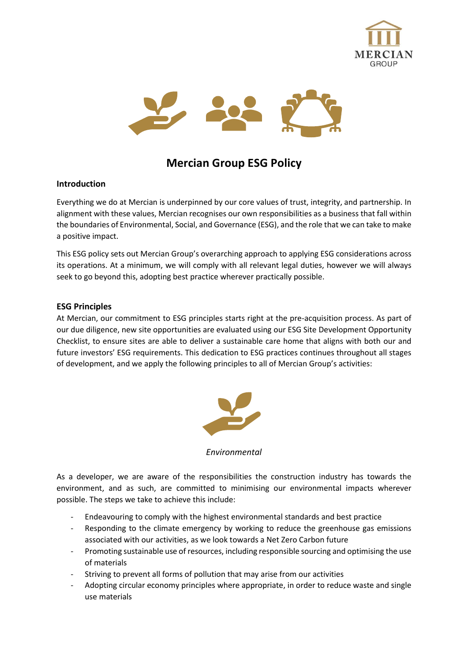



# **Mercian Group ESG Policy**

### **Introduction**

Everything we do at Mercian is underpinned by our core values of trust, integrity, and partnership. In alignment with these values, Mercian recognises our own responsibilities as a business that fall within the boundaries of Environmental, Social, and Governance (ESG), and the role that we can take to make a positive impact.

This ESG policy sets out Mercian Group's overarching approach to applying ESG considerations across its operations. At a minimum, we will comply with all relevant legal duties, however we will always seek to go beyond this, adopting best practice wherever practically possible.

#### **ESG Principles**

At Mercian, our commitment to ESG principles starts right at the pre-acquisition process. As part of our due diligence, new site opportunities are evaluated using our ESG Site Development Opportunity Checklist, to ensure sites are able to deliver a sustainable care home that aligns with both our and future investors' ESG requirements. This dedication to ESG practices continues throughout all stages of development, and we apply the following principles to all of Mercian Group's activities:



*Environmental*

As a developer, we are aware of the responsibilities the construction industry has towards the environment, and as such, are committed to minimising our environmental impacts wherever possible. The steps we take to achieve this include:

- Endeavouring to comply with the highest environmental standards and best practice
- Responding to the climate emergency by working to reduce the greenhouse gas emissions associated with our activities, as we look towards a Net Zero Carbon future
- Promoting sustainable use of resources, including responsible sourcing and optimising the use of materials
- Striving to prevent all forms of pollution that may arise from our activities
- Adopting circular economy principles where appropriate, in order to reduce waste and single use materials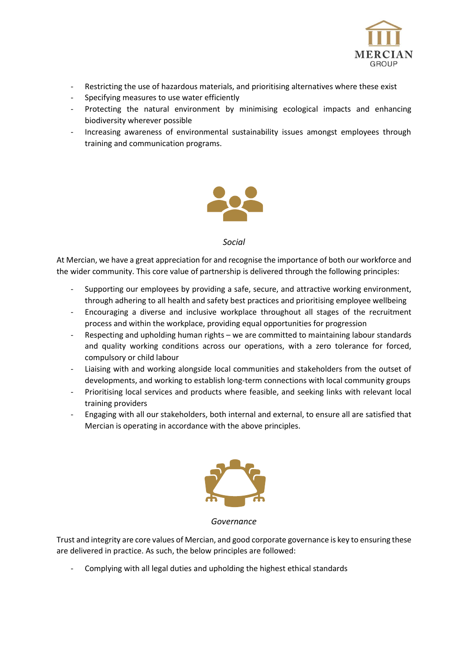

- Restricting the use of hazardous materials, and prioritising alternatives where these exist
- Specifying measures to use water efficiently
- Protecting the natural environment by minimising ecological impacts and enhancing biodiversity wherever possible
- Increasing awareness of environmental sustainability issues amongst employees through training and communication programs.



#### *Social*

At Mercian, we have a great appreciation for and recognise the importance of both our workforce and the wider community. This core value of partnership is delivered through the following principles:

- Supporting our employees by providing a safe, secure, and attractive working environment, through adhering to all health and safety best practices and prioritising employee wellbeing
- Encouraging a diverse and inclusive workplace throughout all stages of the recruitment process and within the workplace, providing equal opportunities for progression
- Respecting and upholding human rights we are committed to maintaining labour standards and quality working conditions across our operations, with a zero tolerance for forced, compulsory or child labour
- Liaising with and working alongside local communities and stakeholders from the outset of developments, and working to establish long-term connections with local community groups
- Prioritising local services and products where feasible, and seeking links with relevant local training providers
- Engaging with all our stakeholders, both internal and external, to ensure all are satisfied that Mercian is operating in accordance with the above principles.



*Governance*

Trust and integrity are core values of Mercian, and good corporate governance is key to ensuring these are delivered in practice. As such, the below principles are followed:

- Complying with all legal duties and upholding the highest ethical standards